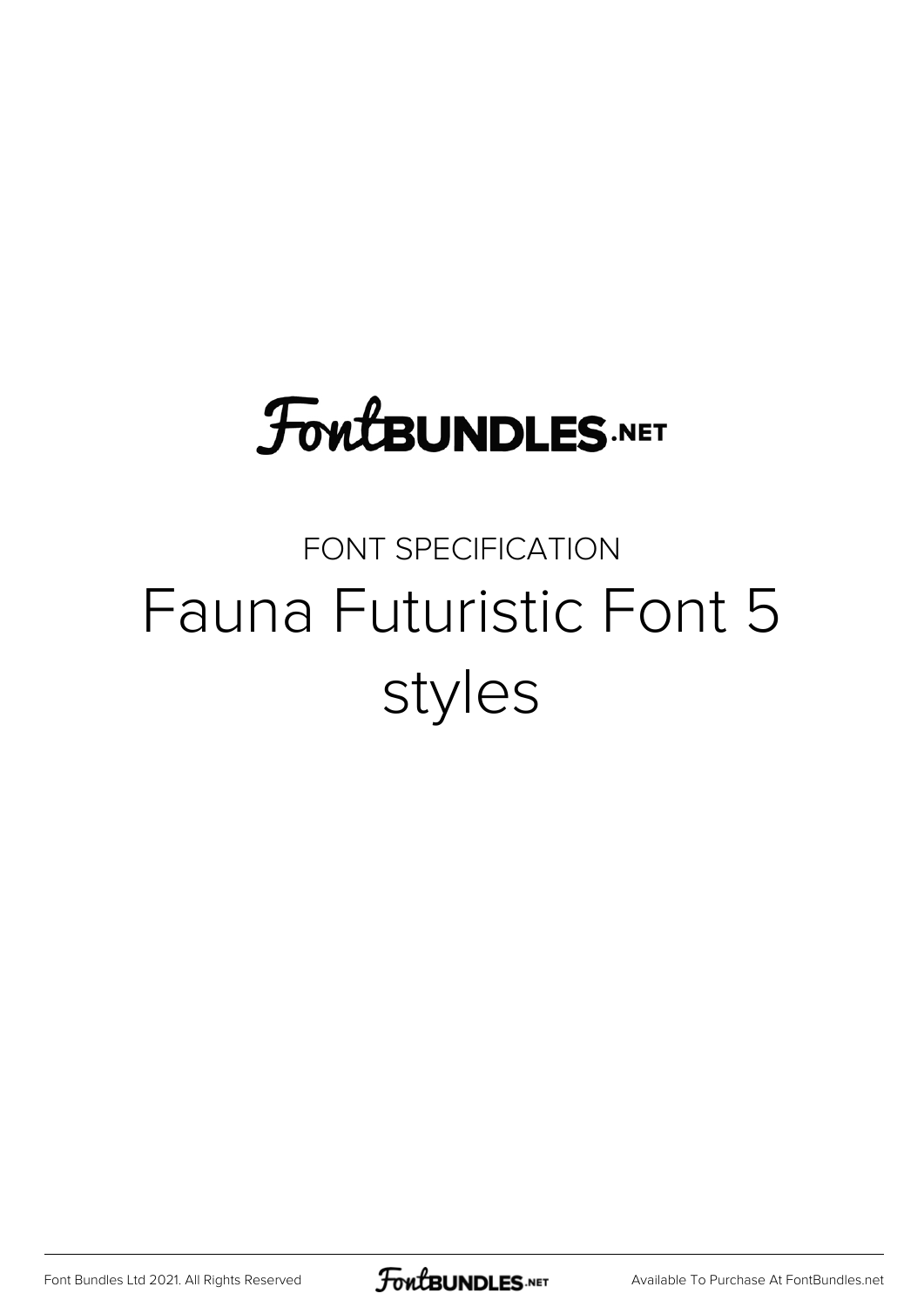# **FoutBUNDLES.NET**

#### FONT SPECIFICATION Fauna Futuristic Font 5 styles

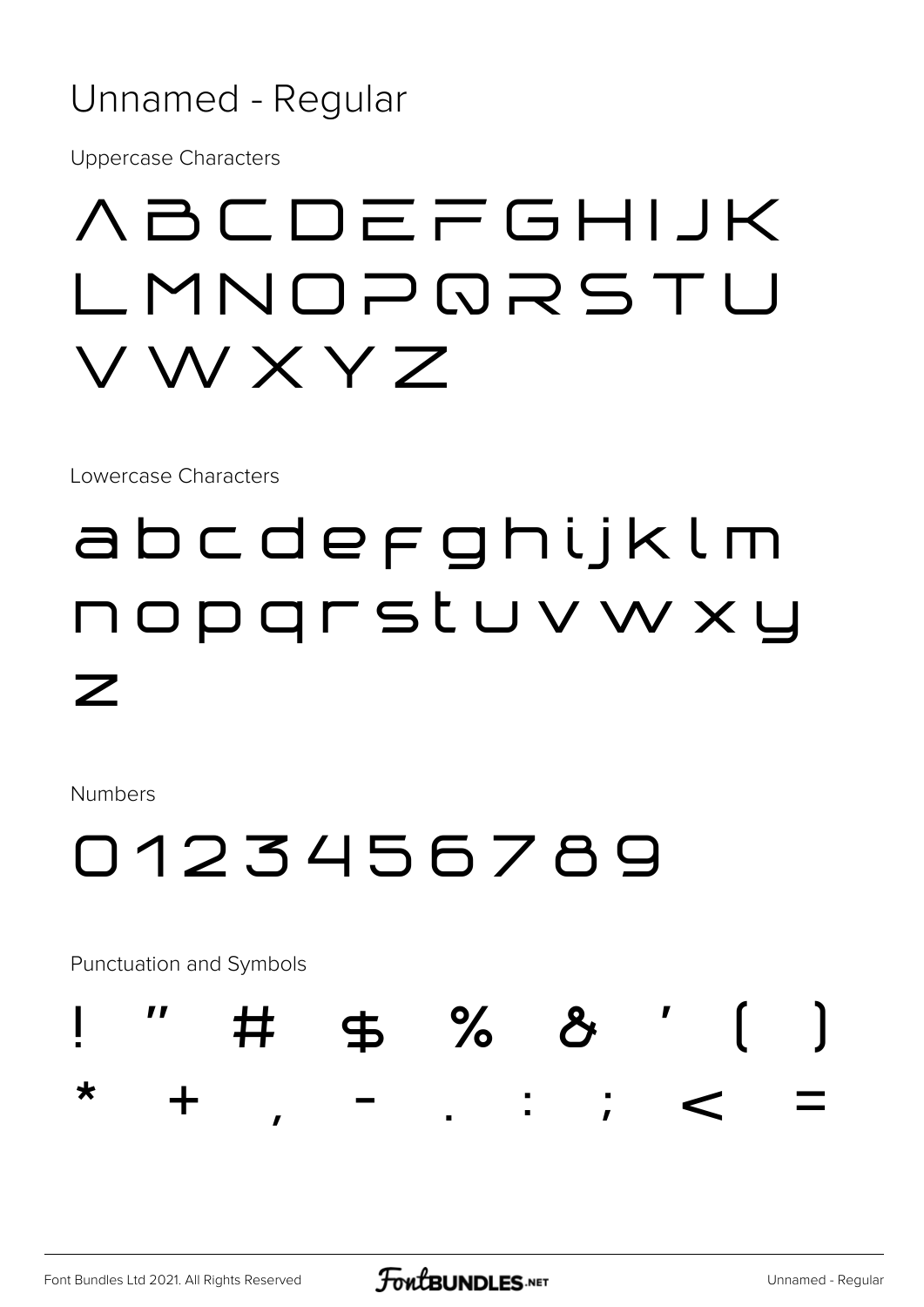#### Unnamed - Regular

**Uppercase Characters** 

## **ABCDEFGHIJK** LMNOPQRSTU VWXYZ

Lowercase Characters

## abcdefghijklm nopgrstuvwxy  $\boldsymbol{Z}$

**Numbers** 

### 0123456789

Punctuation and Symbols

╈

♯

 $\mathbf{I}$ 

I

 $\bigstar$ 

\$ % &

 $\ddot{\phantom{1}}$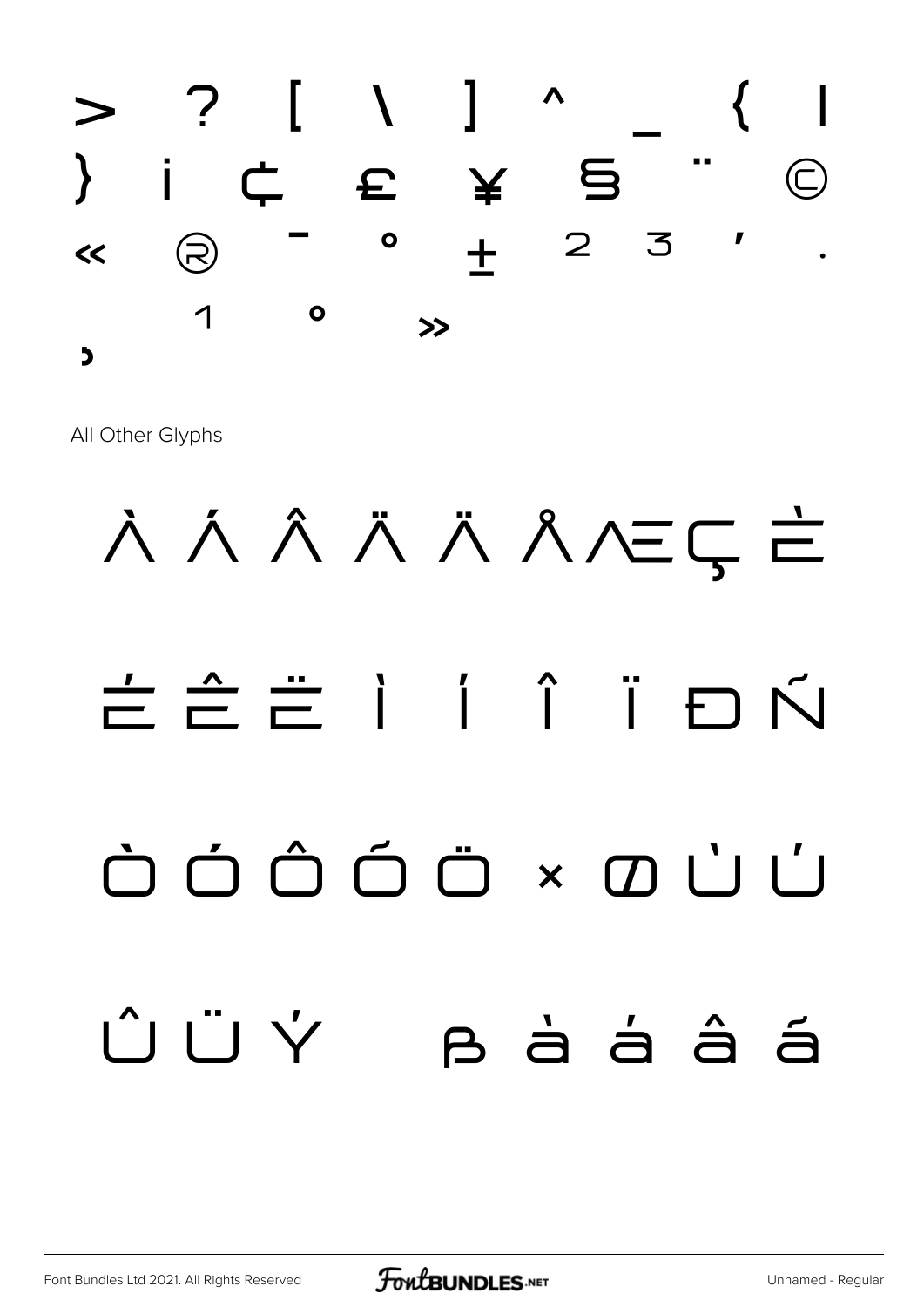

All Other Glyphs